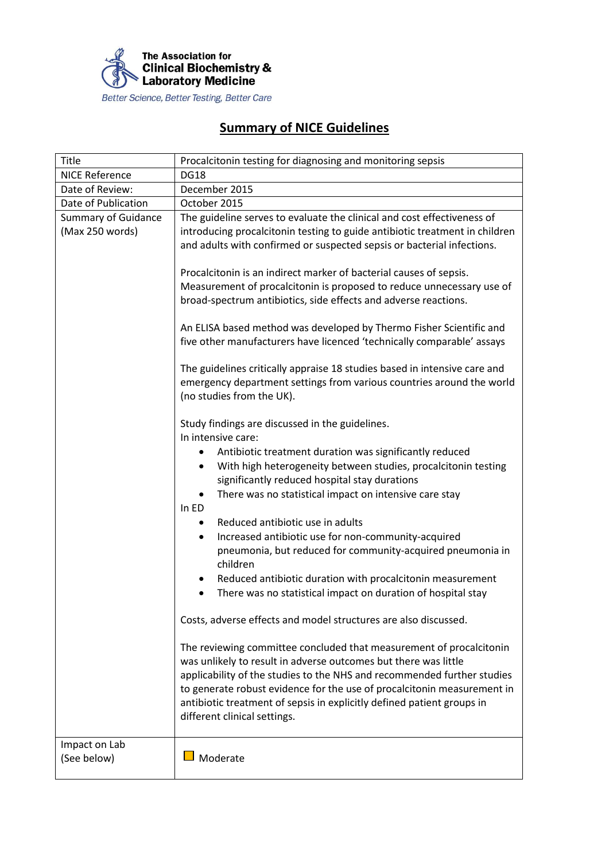

## **Summary of NICE Guidelines**

| Title                                         | Procalcitonin testing for diagnosing and monitoring sepsis                                                                                                                                                                                                                                                                                                                                             |
|-----------------------------------------------|--------------------------------------------------------------------------------------------------------------------------------------------------------------------------------------------------------------------------------------------------------------------------------------------------------------------------------------------------------------------------------------------------------|
| <b>NICE Reference</b>                         | <b>DG18</b>                                                                                                                                                                                                                                                                                                                                                                                            |
| Date of Review:                               | December 2015                                                                                                                                                                                                                                                                                                                                                                                          |
| Date of Publication                           | October 2015                                                                                                                                                                                                                                                                                                                                                                                           |
| <b>Summary of Guidance</b><br>(Max 250 words) | The guideline serves to evaluate the clinical and cost effectiveness of<br>introducing procalcitonin testing to guide antibiotic treatment in children<br>and adults with confirmed or suspected sepsis or bacterial infections.                                                                                                                                                                       |
|                                               | Procalcitonin is an indirect marker of bacterial causes of sepsis.<br>Measurement of procalcitonin is proposed to reduce unnecessary use of<br>broad-spectrum antibiotics, side effects and adverse reactions.                                                                                                                                                                                         |
|                                               | An ELISA based method was developed by Thermo Fisher Scientific and<br>five other manufacturers have licenced 'technically comparable' assays                                                                                                                                                                                                                                                          |
|                                               | The guidelines critically appraise 18 studies based in intensive care and<br>emergency department settings from various countries around the world<br>(no studies from the UK).                                                                                                                                                                                                                        |
|                                               | Study findings are discussed in the guidelines.<br>In intensive care:<br>Antibiotic treatment duration was significantly reduced                                                                                                                                                                                                                                                                       |
|                                               | With high heterogeneity between studies, procalcitonin testing<br>$\bullet$<br>significantly reduced hospital stay durations                                                                                                                                                                                                                                                                           |
|                                               | There was no statistical impact on intensive care stay                                                                                                                                                                                                                                                                                                                                                 |
|                                               | In ED<br>Reduced antibiotic use in adults<br>$\bullet$                                                                                                                                                                                                                                                                                                                                                 |
|                                               | Increased antibiotic use for non-community-acquired<br>$\bullet$<br>pneumonia, but reduced for community-acquired pneumonia in<br>children                                                                                                                                                                                                                                                             |
|                                               | Reduced antibiotic duration with procalcitonin measurement<br>There was no statistical impact on duration of hospital stay                                                                                                                                                                                                                                                                             |
|                                               | Costs, adverse effects and model structures are also discussed.                                                                                                                                                                                                                                                                                                                                        |
|                                               | The reviewing committee concluded that measurement of procalcitonin<br>was unlikely to result in adverse outcomes but there was little<br>applicability of the studies to the NHS and recommended further studies<br>to generate robust evidence for the use of procalcitonin measurement in<br>antibiotic treatment of sepsis in explicitly defined patient groups in<br>different clinical settings. |
| Impact on Lab<br>(See below)                  | Moderate                                                                                                                                                                                                                                                                                                                                                                                               |